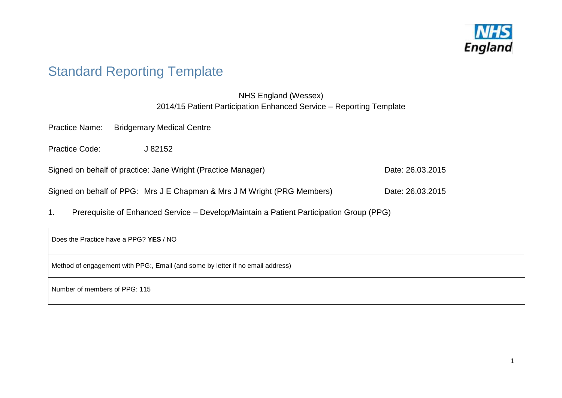

# Standard Reporting Template

## NHS England (Wessex) 2014/15 Patient Participation Enhanced Service – Reporting Template

Practice Name: Bridgemary Medical Centre

Practice Code: <br>  $J 82152$ 

Signed on behalf of practice: Jane Wright (Practice Manager) Date: 26.03.2015

| Signed on behalf of PPG: Mrs J E Chapman & Mrs J M Wright (PRG Members) | Date: 26.03.2015 |
|-------------------------------------------------------------------------|------------------|
|                                                                         |                  |

1. Prerequisite of Enhanced Service – Develop/Maintain a Patient Participation Group (PPG)

Does the Practice have a PPG? **YES** / NO

Method of engagement with PPG:, Email (and some by letter if no email address)

Number of members of PPG: 115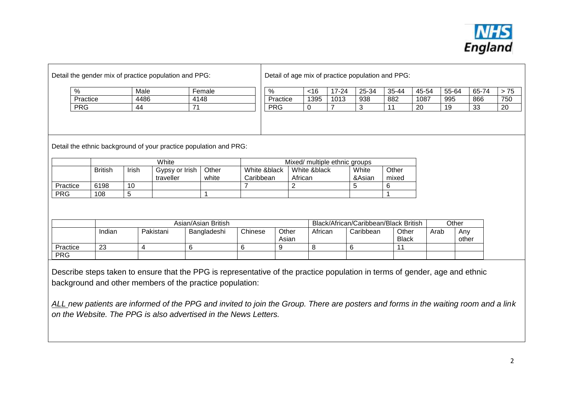

| $\%$                   |                | Male  |                                                                   | Female              |                           | %              | <16                           | $17 - 24$ | 25-34           | 35-44                                 | 45-54 | 55-64        | 65-74 | $> 75$ |
|------------------------|----------------|-------|-------------------------------------------------------------------|---------------------|---------------------------|----------------|-------------------------------|-----------|-----------------|---------------------------------------|-------|--------------|-------|--------|
|                        | Practice       | 4486  |                                                                   | 4148                |                           | Practice       | 1395                          | 1013      | 938             | 882                                   | 1087  | 995          | 866   | 750    |
| <b>PRG</b>             |                | 44    | 71                                                                |                     |                           | <b>PRG</b>     | 0                             |           | 3               | 11                                    | 20    | 19           | 33    | 20     |
|                        |                |       | Detail the ethnic background of your practice population and PRG: |                     |                           |                |                               |           |                 |                                       |       |              |       |        |
|                        |                |       | White                                                             |                     |                           |                | Mixed/ multiple ethnic groups |           |                 |                                       |       |              |       |        |
|                        | <b>British</b> | Irish | Gypsy or Irish<br>traveller                                       | Other<br>white      | White &black<br>Caribbean | African        | White &black                  |           | White<br>&Asian | Other<br>mixed                        |       |              |       |        |
|                        | 6198           | 10    |                                                                   |                     |                           | 2              |                               |           | 5               | 6                                     |       |              |       |        |
|                        |                |       |                                                                   |                     |                           |                |                               |           |                 |                                       |       |              |       |        |
|                        | 108            | 5     |                                                                   |                     |                           |                |                               |           |                 |                                       |       |              |       |        |
| Practice<br><b>PRG</b> |                |       |                                                                   | Asian/Asian British |                           |                |                               |           |                 | Black/African/Caribbean/Black British |       | Other        |       |        |
|                        | Indian<br>23   |       | Pakistani                                                         | Bangladeshi         | Chinese                   | Other<br>Asian | African                       |           | Caribbean       | Other<br><b>Black</b>                 | Arab  | Any<br>other |       |        |

taken to ensure that the PPG is representative of the practice population in terms or gender, age and ethnic background and other members of the practice population:

*ALL new patients are informed of the PPG and invited to join the Group. There are posters and forms in the waiting room and a link on the Website. The PPG is also advertised in the News Letters.*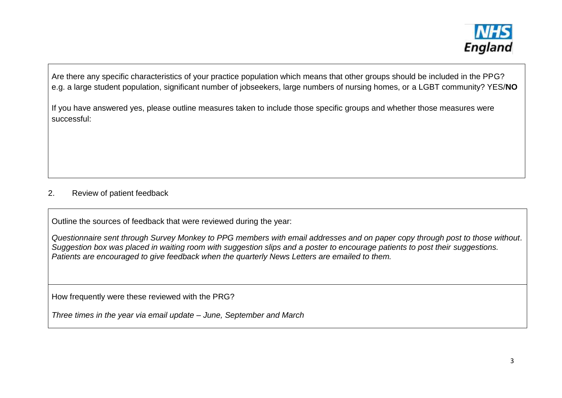

Are there any specific characteristics of your practice population which means that other groups should be included in the PPG? e.g. a large student population, significant number of jobseekers, large numbers of nursing homes, or a LGBT community? YES/**NO**

If you have answered yes, please outline measures taken to include those specific groups and whether those measures were successful:

## 2. Review of patient feedback

Outline the sources of feedback that were reviewed during the year:

*Questionnaire sent through Survey Monkey to PPG members with email addresses and on paper copy through post to those without. Suggestion box was placed in waiting room with suggestion slips and a poster to encourage patients to post their suggestions. Patients are encouraged to give feedback when the quarterly News Letters are emailed to them.*

How frequently were these reviewed with the PRG?

*Three times in the year via email update – June, September and March*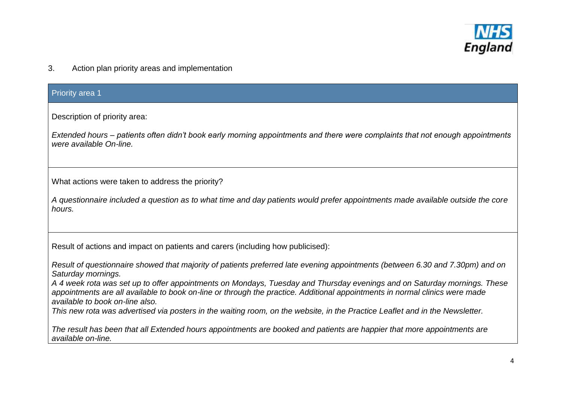

3. Action plan priority areas and implementation

| <b>Priority area 1</b>                                                                                                                                                                                                                                                                                                                                                                                                                                                                                                                                                                                                                                               |
|----------------------------------------------------------------------------------------------------------------------------------------------------------------------------------------------------------------------------------------------------------------------------------------------------------------------------------------------------------------------------------------------------------------------------------------------------------------------------------------------------------------------------------------------------------------------------------------------------------------------------------------------------------------------|
| Description of priority area:<br>Extended hours – patients often didn't book early morning appointments and there were complaints that not enough appointments<br>were available On-line.                                                                                                                                                                                                                                                                                                                                                                                                                                                                            |
| What actions were taken to address the priority?<br>A questionnaire included a question as to what time and day patients would prefer appointments made available outside the core<br>hours.                                                                                                                                                                                                                                                                                                                                                                                                                                                                         |
| Result of actions and impact on patients and carers (including how publicised):<br>Result of questionnaire showed that majority of patients preferred late evening appointments (between 6.30 and 7.30pm) and on<br>Saturday mornings.<br>A 4 week rota was set up to offer appointments on Mondays, Tuesday and Thursday evenings and on Saturday mornings. These<br>appointments are all available to book on-line or through the practice. Additional appointments in normal clinics were made<br>available to book on-line also.<br>This new rota was advertised via posters in the waiting room, on the website, in the Practice Leaflet and in the Newsletter. |
| The result has been that all Extended hours appointments are booked and patients are happier that more appointments are<br>available on-line.                                                                                                                                                                                                                                                                                                                                                                                                                                                                                                                        |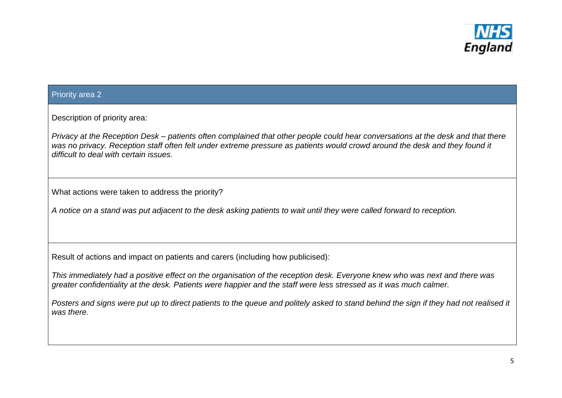

#### Priority area 2

Description of priority area:

*Privacy at the Reception Desk – patients often complained that other people could hear conversations at the desk and that there was no privacy. Reception staff often felt under extreme pressure as patients would crowd around the desk and they found it difficult to deal with certain issues.*

What actions were taken to address the priority?

*A notice on a stand was put adjacent to the desk asking patients to wait until they were called forward to reception.* 

Result of actions and impact on patients and carers (including how publicised):

*This immediately had a positive effect on the organisation of the reception desk. Everyone knew who was next and there was greater confidentiality at the desk. Patients were happier and the staff were less stressed as it was much calmer.*

*Posters and signs were put up to direct patients to the queue and politely asked to stand behind the sign if they had not realised it was there.*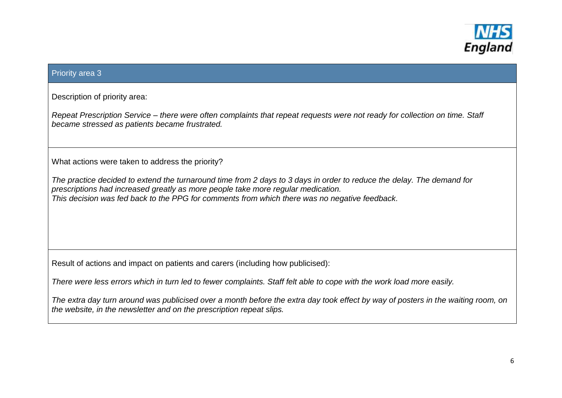

## Priority area 3

Description of priority area:

*Repeat Prescription Service – there were often complaints that repeat requests were not ready for collection on time. Staff became stressed as patients became frustrated.*

What actions were taken to address the priority?

*The practice decided to extend the turnaround time from 2 days to 3 days in order to reduce the delay. The demand for prescriptions had increased greatly as more people take more regular medication. This decision was fed back to the PPG for comments from which there was no negative feedback.*

Result of actions and impact on patients and carers (including how publicised):

*There were less errors which in turn led to fewer complaints. Staff felt able to cope with the work load more easily.*

*The extra day turn around was publicised over a month before the extra day took effect by way of posters in the waiting room, on the website, in the newsletter and on the prescription repeat slips.*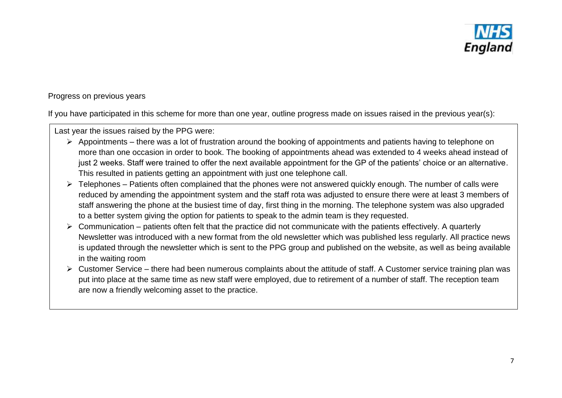

## Progress on previous years

If you have participated in this scheme for more than one year, outline progress made on issues raised in the previous year(s):

Last year the issues raised by the PPG were:

- $\triangleright$  Appointments there was a lot of frustration around the booking of appointments and patients having to telephone on more than one occasion in order to book. The booking of appointments ahead was extended to 4 weeks ahead instead of just 2 weeks. Staff were trained to offer the next available appointment for the GP of the patients' choice or an alternative. This resulted in patients getting an appointment with just one telephone call.
- $\triangleright$  Telephones Patients often complained that the phones were not answered quickly enough. The number of calls were reduced by amending the appointment system and the staff rota was adjusted to ensure there were at least 3 members of staff answering the phone at the busiest time of day, first thing in the morning. The telephone system was also upgraded to a better system giving the option for patients to speak to the admin team is they requested.
- $\triangleright$  Communication patients often felt that the practice did not communicate with the patients effectively. A quarterly Newsletter was introduced with a new format from the old newsletter which was published less regularly. All practice news is updated through the newsletter which is sent to the PPG group and published on the website, as well as being available in the waiting room
- $\triangleright$  Customer Service there had been numerous complaints about the attitude of staff. A Customer service training plan was put into place at the same time as new staff were employed, due to retirement of a number of staff. The reception team are now a friendly welcoming asset to the practice.